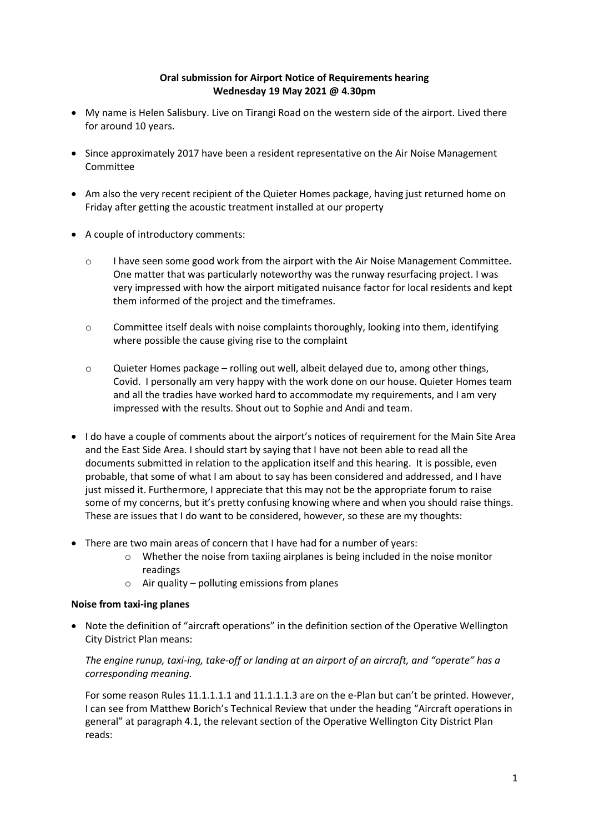## **Oral submission for Airport Notice of Requirements hearing Wednesday 19 May 2021 @ 4.30pm**

- My name is Helen Salisbury. Live on Tirangi Road on the western side of the airport. Lived there for around 10 years.
- Since approximately 2017 have been a resident representative on the Air Noise Management Committee
- Am also the very recent recipient of the Quieter Homes package, having just returned home on Friday after getting the acoustic treatment installed at our property
- A couple of introductory comments:
	- o I have seen some good work from the airport with the Air Noise Management Committee. One matter that was particularly noteworthy was the runway resurfacing project. I was very impressed with how the airport mitigated nuisance factor for local residents and kept them informed of the project and the timeframes.
	- o Committee itself deals with noise complaints thoroughly, looking into them, identifying where possible the cause giving rise to the complaint
	- $\circ$  Quieter Homes package rolling out well, albeit delayed due to, among other things, Covid. I personally am very happy with the work done on our house. Quieter Homes team and all the tradies have worked hard to accommodate my requirements, and I am very impressed with the results. Shout out to Sophie and Andi and team.
- I do have a couple of comments about the airport's notices of requirement for the Main Site Area and the East Side Area. I should start by saying that I have not been able to read all the documents submitted in relation to the application itself and this hearing. It is possible, even probable, that some of what I am about to say has been considered and addressed, and I have just missed it. Furthermore, I appreciate that this may not be the appropriate forum to raise some of my concerns, but it's pretty confusing knowing where and when you should raise things. These are issues that I do want to be considered, however, so these are my thoughts:
- There are two main areas of concern that I have had for a number of years:
	- o Whether the noise from taxiing airplanes is being included in the noise monitor readings
	- $\circ$  Air quality polluting emissions from planes

### **Noise from taxi-ing planes**

• Note the definition of "aircraft operations" in the definition section of the Operative Wellington City District Plan means:

# *The engine runup, taxi-ing, take-off or landing at an airport of an aircraft, and "operate" has a corresponding meaning.*

For some reason Rules 11.1.1.1.1 and 11.1.1.1.3 are on the e-Plan but can't be printed. However, I can see from Matthew Borich's Technical Review that under the heading "Aircraft operations in general" at paragraph 4.1, the relevant section of the Operative Wellington City District Plan reads: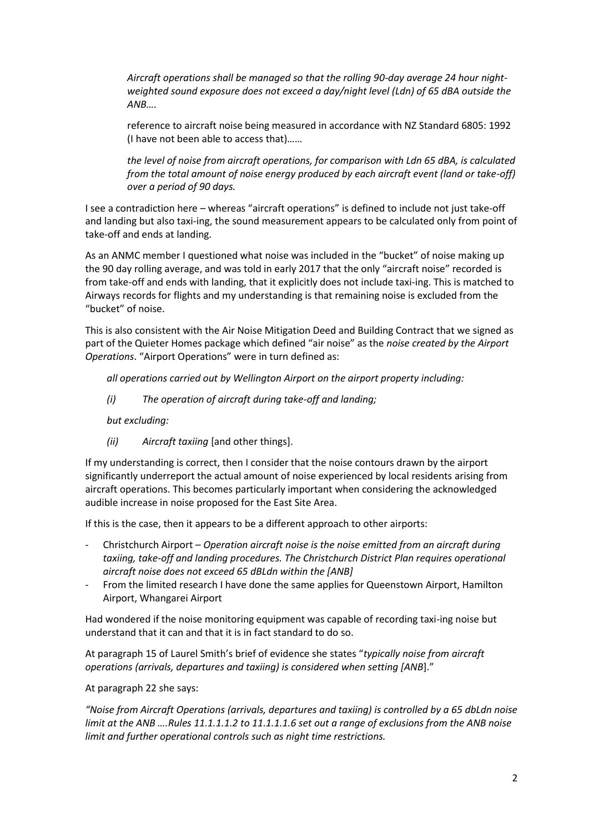*Aircraft operations shall be managed so that the rolling 90-day average 24 hour nightweighted sound exposure does not exceed a day/night level (Ldn) of 65 dBA outside the ANB….*

reference to aircraft noise being measured in accordance with NZ Standard 6805: 1992 (I have not been able to access that)……

*the level of noise from aircraft operations, for comparison with Ldn 65 dBA, is calculated from the total amount of noise energy produced by each aircraft event (land or take-off) over a period of 90 days.*

I see a contradiction here – whereas "aircraft operations" is defined to include not just take-off and landing but also taxi-ing, the sound measurement appears to be calculated only from point of take-off and ends at landing.

As an ANMC member I questioned what noise was included in the "bucket" of noise making up the 90 day rolling average, and was told in early 2017 that the only "aircraft noise" recorded is from take-off and ends with landing, that it explicitly does not include taxi-ing. This is matched to Airways records for flights and my understanding is that remaining noise is excluded from the "bucket" of noise.

This is also consistent with the Air Noise Mitigation Deed and Building Contract that we signed as part of the Quieter Homes package which defined "air noise" as the *noise created by the Airport Operations*. "Airport Operations" were in turn defined as:

*all operations carried out by Wellington Airport on the airport property including:*

*(i) The operation of aircraft during take-off and landing;*

*but excluding:*

*(ii) Aircraft taxiing* [and other things].

If my understanding is correct, then I consider that the noise contours drawn by the airport significantly underreport the actual amount of noise experienced by local residents arising from aircraft operations. This becomes particularly important when considering the acknowledged audible increase in noise proposed for the East Site Area.

If this is the case, then it appears to be a different approach to other airports:

- Christchurch Airport *– Operation aircraft noise is the noise emitted from an aircraft during taxiing, take-off and landing procedures. The Christchurch District Plan requires operational aircraft noise does not exceed 65 dBLdn within the [ANB]*
- From the limited research I have done the same applies for Queenstown Airport, Hamilton Airport, Whangarei Airport

Had wondered if the noise monitoring equipment was capable of recording taxi-ing noise but understand that it can and that it is in fact standard to do so.

At paragraph 15 of Laurel Smith's brief of evidence she states "*typically noise from aircraft operations (arrivals, departures and taxiing) is considered when setting [ANB*]."

### At paragraph 22 she says:

*"Noise from Aircraft Operations (arrivals, departures and taxiing) is controlled by a 65 dbLdn noise limit at the ANB ….Rules 11.1.1.1.2 to 11.1.1.1.6 set out a range of exclusions from the ANB noise limit and further operational controls such as night time restrictions.*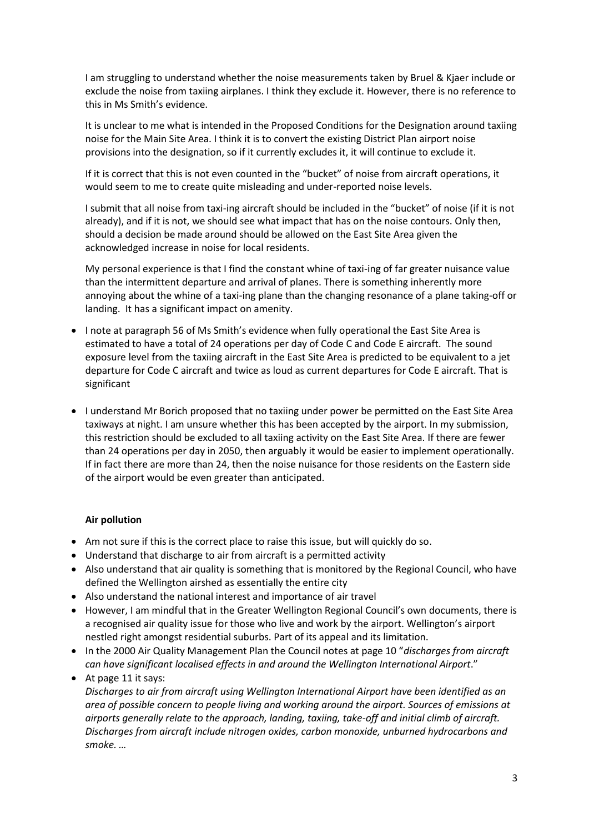I am struggling to understand whether the noise measurements taken by Bruel & Kjaer include or exclude the noise from taxiing airplanes. I think they exclude it. However, there is no reference to this in Ms Smith's evidence.

It is unclear to me what is intended in the Proposed Conditions for the Designation around taxiing noise for the Main Site Area. I think it is to convert the existing District Plan airport noise provisions into the designation, so if it currently excludes it, it will continue to exclude it.

If it is correct that this is not even counted in the "bucket" of noise from aircraft operations, it would seem to me to create quite misleading and under-reported noise levels.

I submit that all noise from taxi-ing aircraft should be included in the "bucket" of noise (if it is not already), and if it is not, we should see what impact that has on the noise contours. Only then, should a decision be made around should be allowed on the East Site Area given the acknowledged increase in noise for local residents.

My personal experience is that I find the constant whine of taxi-ing of far greater nuisance value than the intermittent departure and arrival of planes. There is something inherently more annoying about the whine of a taxi-ing plane than the changing resonance of a plane taking-off or landing. It has a significant impact on amenity.

- I note at paragraph 56 of Ms Smith's evidence when fully operational the East Site Area is estimated to have a total of 24 operations per day of Code C and Code E aircraft. The sound exposure level from the taxiing aircraft in the East Site Area is predicted to be equivalent to a jet departure for Code C aircraft and twice as loud as current departures for Code E aircraft. That is significant
- I understand Mr Borich proposed that no taxiing under power be permitted on the East Site Area taxiways at night. I am unsure whether this has been accepted by the airport. In my submission, this restriction should be excluded to all taxiing activity on the East Site Area. If there are fewer than 24 operations per day in 2050, then arguably it would be easier to implement operationally. If in fact there are more than 24, then the noise nuisance for those residents on the Eastern side of the airport would be even greater than anticipated.

## **Air pollution**

- Am not sure if this is the correct place to raise this issue, but will quickly do so.
- Understand that discharge to air from aircraft is a permitted activity
- Also understand that air quality is something that is monitored by the Regional Council, who have defined the Wellington airshed as essentially the entire city
- Also understand the national interest and importance of air travel
- However, I am mindful that in the Greater Wellington Regional Council's own documents, there is a recognised air quality issue for those who live and work by the airport. Wellington's airport nestled right amongst residential suburbs. Part of its appeal and its limitation.
- In the 2000 Air Quality Management Plan the Council notes at page 10 "*discharges from aircraft can have significant localised effects in and around the Wellington International Airport*."

• At page 11 it says: *Discharges to air from aircraft using Wellington International Airport have been identified as an area of possible concern to people living and working around the airport. Sources of emissions at airports generally relate to the approach, landing, taxiing, take-off and initial climb of aircraft. Discharges from aircraft include nitrogen oxides, carbon monoxide, unburned hydrocarbons and smoke. …*